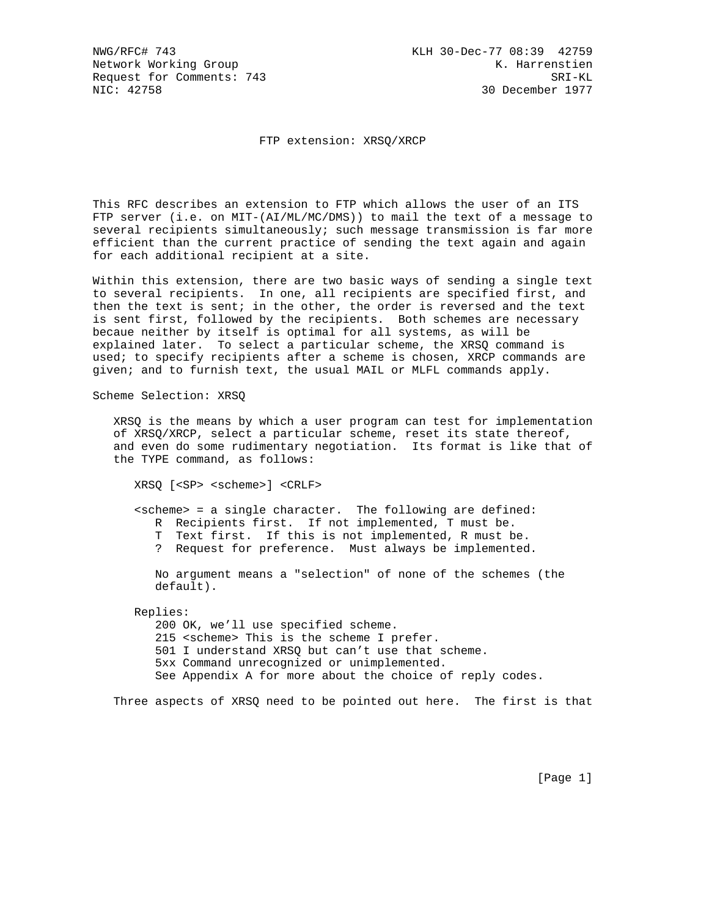FTP extension: XRSQ/XRCP

This RFC describes an extension to FTP which allows the user of an ITS FTP server (i.e. on MIT-(AI/ML/MC/DMS)) to mail the text of a message to several recipients simultaneously; such message transmission is far more efficient than the current practice of sending the text again and again for each additional recipient at a site.

Within this extension, there are two basic ways of sending a single text to several recipients. In one, all recipients are specified first, and then the text is sent; in the other, the order is reversed and the text is sent first, followed by the recipients. Both schemes are necessary becaue neither by itself is optimal for all systems, as will be explained later. To select a particular scheme, the XRSQ command is used; to specify recipients after a scheme is chosen, XRCP commands are given; and to furnish text, the usual MAIL or MLFL commands apply.

Scheme Selection: XRSQ

 XRSQ is the means by which a user program can test for implementation of XRSQ/XRCP, select a particular scheme, reset its state thereof, and even do some rudimentary negotiation. Its format is like that of the TYPE command, as follows:

XRSQ [<SP> <scheme>] <CRLF>

 <scheme> = a single character. The following are defined: R Recipients first. If not implemented, T must be. T Text first. If this is not implemented, R must be. ? Request for preference. Must always be implemented.

 No argument means a "selection" of none of the schemes (the default).

Replies:

 200 OK, we'll use specified scheme. 215 <scheme> This is the scheme I prefer. 501 I understand XRSQ but can't use that scheme. 5xx Command unrecognized or unimplemented. See Appendix A for more about the choice of reply codes.

Three aspects of XRSQ need to be pointed out here. The first is that

[Page 1]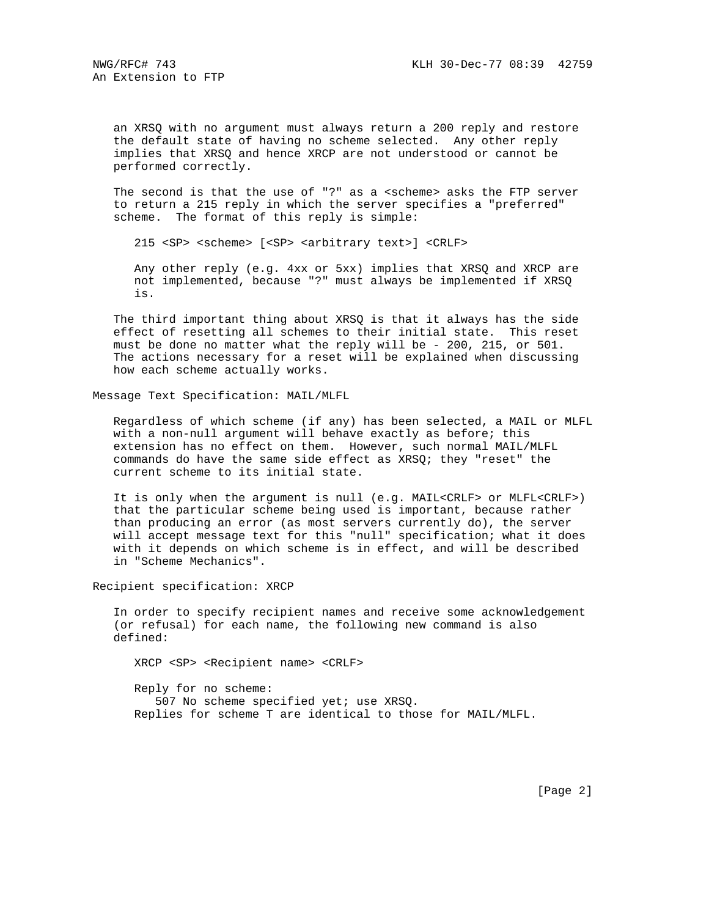an XRSQ with no argument must always return a 200 reply and restore the default state of having no scheme selected. Any other reply implies that XRSQ and hence XRCP are not understood or cannot be performed correctly.

 The second is that the use of "?" as a <scheme> asks the FTP server to return a 215 reply in which the server specifies a "preferred" scheme. The format of this reply is simple:

215 <SP> <scheme> [<SP> <arbitrary text>] <CRLF>

 Any other reply (e.g. 4xx or 5xx) implies that XRSQ and XRCP are not implemented, because "?" must always be implemented if XRSQ is.

 The third important thing about XRSQ is that it always has the side effect of resetting all schemes to their initial state. This reset must be done no matter what the reply will be - 200, 215, or 501. The actions necessary for a reset will be explained when discussing how each scheme actually works.

Message Text Specification: MAIL/MLFL

 Regardless of which scheme (if any) has been selected, a MAIL or MLFL with a non-null argument will behave exactly as before; this extension has no effect on them. However, such normal MAIL/MLFL commands do have the same side effect as XRSQ; they "reset" the current scheme to its initial state.

 It is only when the argument is null (e.g. MAIL<CRLF> or MLFL<CRLF>) that the particular scheme being used is important, because rather than producing an error (as most servers currently do), the server will accept message text for this "null" specification; what it does with it depends on which scheme is in effect, and will be described in "Scheme Mechanics".

Recipient specification: XRCP

 In order to specify recipient names and receive some acknowledgement (or refusal) for each name, the following new command is also defined:

XRCP <SP> <Recipient name> <CRLF>

 Reply for no scheme: 507 No scheme specified yet; use XRSQ. Replies for scheme T are identical to those for MAIL/MLFL.

[Page 2]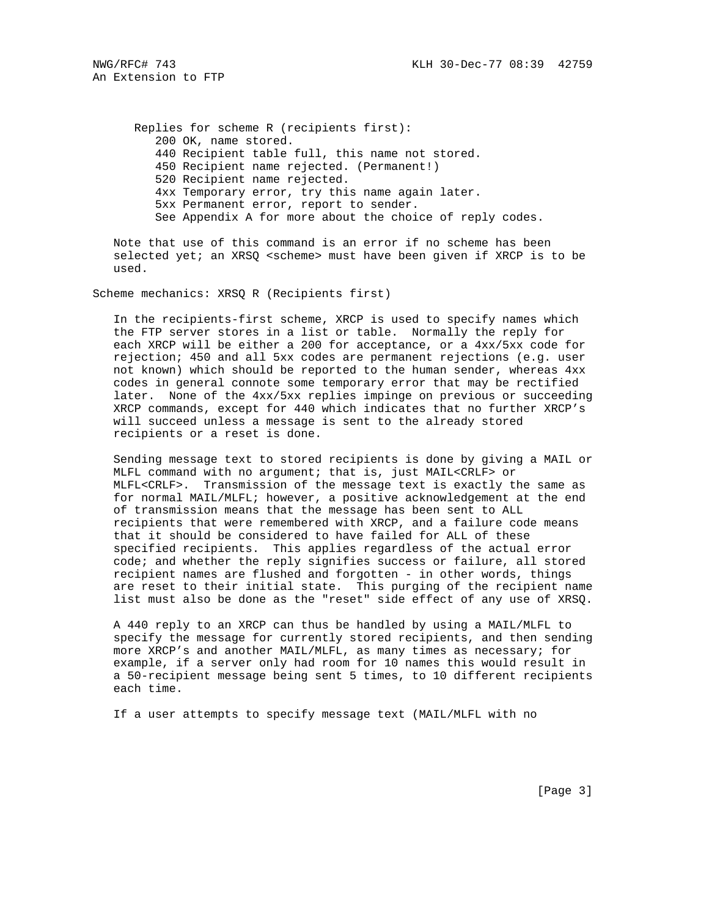An Extension to FTP

 Replies for scheme R (recipients first): 200 OK, name stored. 440 Recipient table full, this name not stored. 450 Recipient name rejected. (Permanent!) 520 Recipient name rejected. 4xx Temporary error, try this name again later. 5xx Permanent error, report to sender. See Appendix A for more about the choice of reply codes.

 Note that use of this command is an error if no scheme has been selected yet; an XRSQ <scheme> must have been given if XRCP is to be used.

Scheme mechanics: XRSQ R (Recipients first)

 In the recipients-first scheme, XRCP is used to specify names which the FTP server stores in a list or table. Normally the reply for each XRCP will be either a 200 for acceptance, or a 4xx/5xx code for rejection; 450 and all 5xx codes are permanent rejections (e.g. user not known) which should be reported to the human sender, whereas 4xx codes in general connote some temporary error that may be rectified later. None of the 4xx/5xx replies impinge on previous or succeeding XRCP commands, except for 440 which indicates that no further XRCP's will succeed unless a message is sent to the already stored recipients or a reset is done.

 Sending message text to stored recipients is done by giving a MAIL or MLFL command with no argument; that is, just MAIL<CRLF> or MLFL<CRLF>. Transmission of the message text is exactly the same as for normal MAIL/MLFL; however, a positive acknowledgement at the end of transmission means that the message has been sent to ALL recipients that were remembered with XRCP, and a failure code means that it should be considered to have failed for ALL of these specified recipients. This applies regardless of the actual error code; and whether the reply signifies success or failure, all stored recipient names are flushed and forgotten - in other words, things are reset to their initial state. This purging of the recipient name list must also be done as the "reset" side effect of any use of XRSQ.

 A 440 reply to an XRCP can thus be handled by using a MAIL/MLFL to specify the message for currently stored recipients, and then sending more XRCP's and another MAIL/MLFL, as many times as necessary; for example, if a server only had room for 10 names this would result in a 50-recipient message being sent 5 times, to 10 different recipients each time.

If a user attempts to specify message text (MAIL/MLFL with no

[Page 3]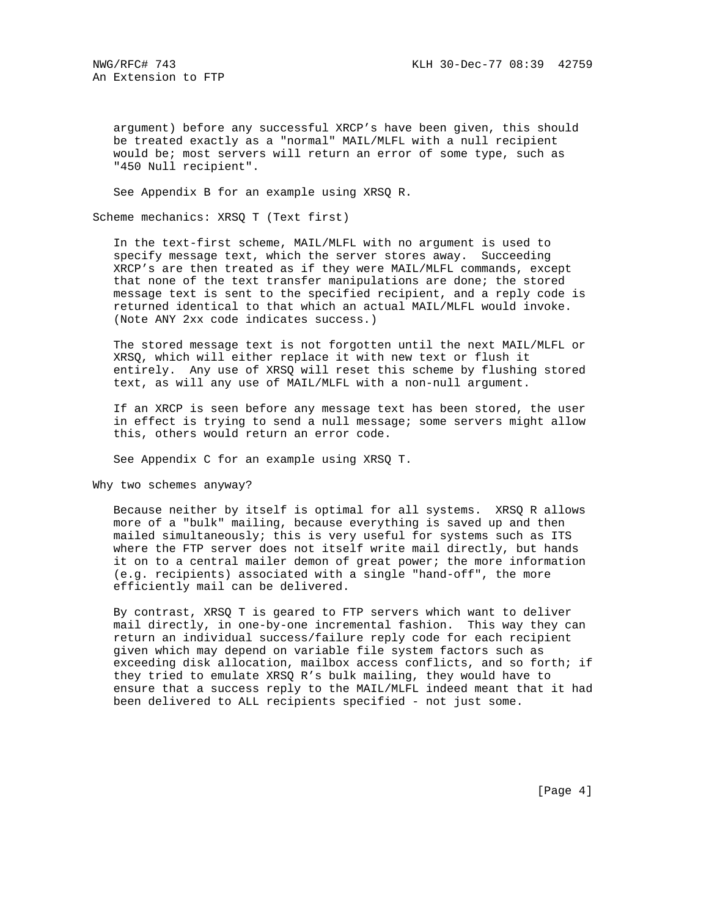argument) before any successful XRCP's have been given, this should be treated exactly as a "normal" MAIL/MLFL with a null recipient would be; most servers will return an error of some type, such as "450 Null recipient".

See Appendix B for an example using XRSQ R.

Scheme mechanics: XRSQ T (Text first)

 In the text-first scheme, MAIL/MLFL with no argument is used to specify message text, which the server stores away. Succeeding XRCP's are then treated as if they were MAIL/MLFL commands, except that none of the text transfer manipulations are done; the stored message text is sent to the specified recipient, and a reply code is returned identical to that which an actual MAIL/MLFL would invoke. (Note ANY 2xx code indicates success.)

 The stored message text is not forgotten until the next MAIL/MLFL or XRSQ, which will either replace it with new text or flush it entirely. Any use of XRSQ will reset this scheme by flushing stored text, as will any use of MAIL/MLFL with a non-null argument.

 If an XRCP is seen before any message text has been stored, the user in effect is trying to send a null message; some servers might allow this, others would return an error code.

See Appendix C for an example using XRSQ T.

Why two schemes anyway?

 Because neither by itself is optimal for all systems. XRSQ R allows more of a "bulk" mailing, because everything is saved up and then mailed simultaneously; this is very useful for systems such as ITS where the FTP server does not itself write mail directly, but hands it on to a central mailer demon of great power; the more information (e.g. recipients) associated with a single "hand-off", the more efficiently mail can be delivered.

 By contrast, XRSQ T is geared to FTP servers which want to deliver mail directly, in one-by-one incremental fashion. This way they can return an individual success/failure reply code for each recipient given which may depend on variable file system factors such as exceeding disk allocation, mailbox access conflicts, and so forth; if they tried to emulate XRSQ R's bulk mailing, they would have to ensure that a success reply to the MAIL/MLFL indeed meant that it had been delivered to ALL recipients specified - not just some.

[Page 4]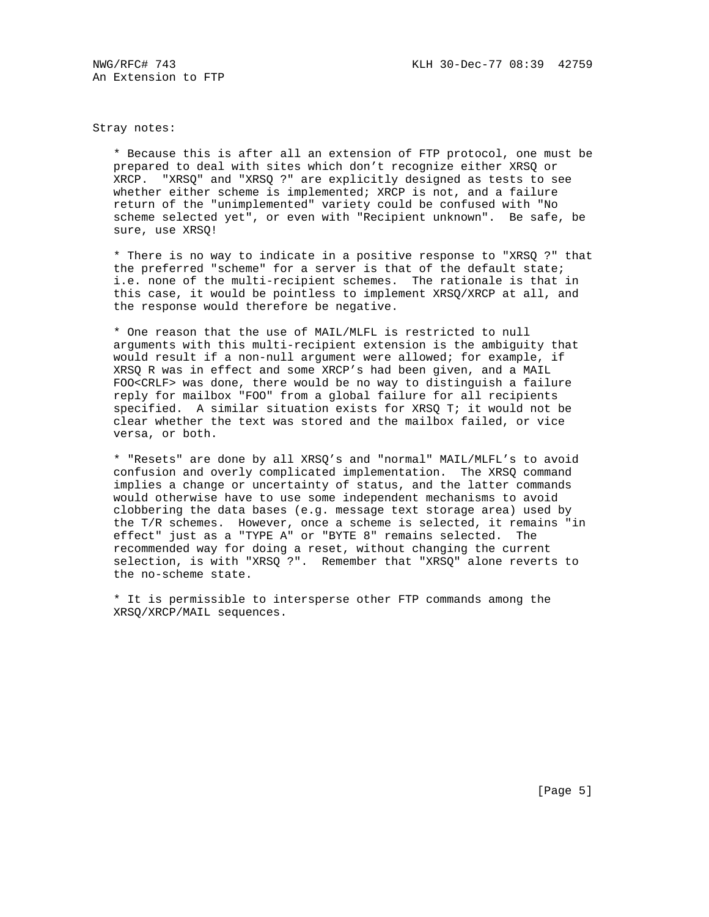An Extension to FTP

Stray notes:

 \* Because this is after all an extension of FTP protocol, one must be prepared to deal with sites which don't recognize either XRSQ or XRCP. "XRSQ" and "XRSQ ?" are explicitly designed as tests to see whether either scheme is implemented; XRCP is not, and a failure return of the "unimplemented" variety could be confused with "No scheme selected yet", or even with "Recipient unknown". Be safe, be sure, use XRSQ!

 \* There is no way to indicate in a positive response to "XRSQ ?" that the preferred "scheme" for a server is that of the default state; i.e. none of the multi-recipient schemes. The rationale is that in this case, it would be pointless to implement XRSQ/XRCP at all, and the response would therefore be negative.

 \* One reason that the use of MAIL/MLFL is restricted to null arguments with this multi-recipient extension is the ambiguity that would result if a non-null argument were allowed; for example, if XRSQ R was in effect and some XRCP's had been given, and a MAIL FOO<CRLF> was done, there would be no way to distinguish a failure reply for mailbox "FOO" from a global failure for all recipients specified. A similar situation exists for XRSQ T; it would not be clear whether the text was stored and the mailbox failed, or vice versa, or both.

 \* "Resets" are done by all XRSQ's and "normal" MAIL/MLFL's to avoid confusion and overly complicated implementation. The XRSQ command implies a change or uncertainty of status, and the latter commands would otherwise have to use some independent mechanisms to avoid clobbering the data bases (e.g. message text storage area) used by the T/R schemes. However, once a scheme is selected, it remains "in effect" just as a "TYPE A" or "BYTE 8" remains selected. The recommended way for doing a reset, without changing the current selection, is with "XRSQ ?". Remember that "XRSQ" alone reverts to the no-scheme state.

 \* It is permissible to intersperse other FTP commands among the XRSQ/XRCP/MAIL sequences.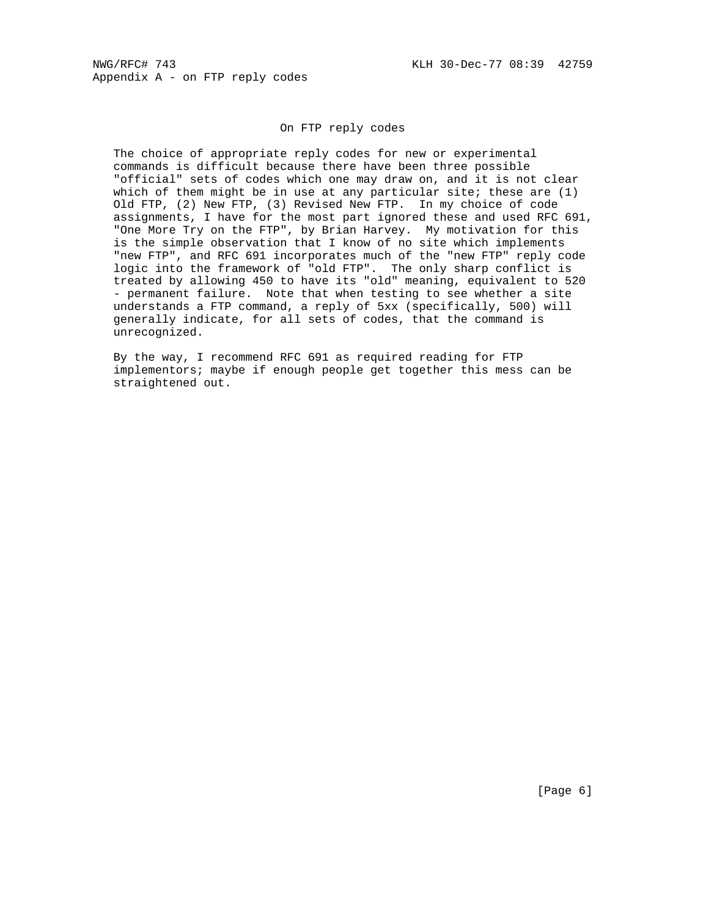## On FTP reply codes

 The choice of appropriate reply codes for new or experimental commands is difficult because there have been three possible "official" sets of codes which one may draw on, and it is not clear which of them might be in use at any particular site; these are  $(1)$  Old FTP, (2) New FTP, (3) Revised New FTP. In my choice of code assignments, I have for the most part ignored these and used RFC 691, "One More Try on the FTP", by Brian Harvey. My motivation for this is the simple observation that I know of no site which implements "new FTP", and RFC 691 incorporates much of the "new FTP" reply code logic into the framework of "old FTP". The only sharp conflict is treated by allowing 450 to have its "old" meaning, equivalent to 520 - permanent failure. Note that when testing to see whether a site understands a FTP command, a reply of 5xx (specifically, 500) will generally indicate, for all sets of codes, that the command is unrecognized.

 By the way, I recommend RFC 691 as required reading for FTP implementors; maybe if enough people get together this mess can be straightened out.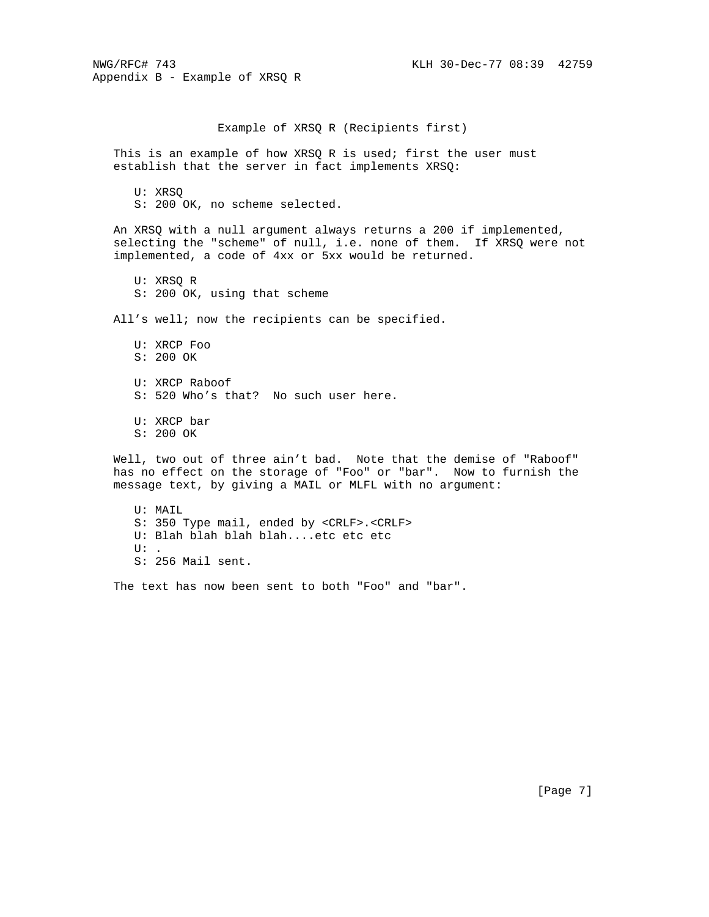NWG/RFC# 743 KLH 30-Dec-77 08:39 42759 Appendix B - Example of XRSQ R Example of XRSQ R (Recipients first) This is an example of how XRSQ R is used; first the user must establish that the server in fact implements XRSQ: U: XRSQ S: 200 OK, no scheme selected. An XRSQ with a null argument always returns a 200 if implemented, selecting the "scheme" of null, i.e. none of them. If XRSQ were not implemented, a code of 4xx or 5xx would be returned. U: XRSQ R S: 200 OK, using that scheme All's well; now the recipients can be specified. U: XRCP Foo S: 200 OK U: XRCP Raboof S: 520 Who's that? No such user here. U: XRCP bar S: 200 OK Well, two out of three ain't bad. Note that the demise of "Raboof" has no effect on the storage of "Foo" or "bar". Now to furnish the message text, by giving a MAIL or MLFL with no argument: U: MAIL S: 350 Type mail, ended by <CRLF>.<CRLF> U: Blah blah blah blah....etc etc etc  $TI$ :

S: 256 Mail sent.

The text has now been sent to both "Foo" and "bar".